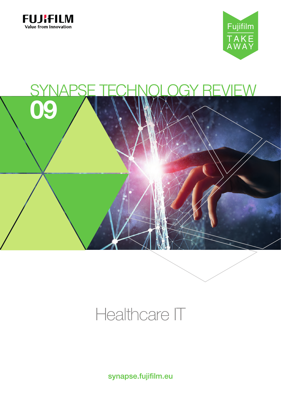





# Healthcare IT

synapse.fujifilm.eu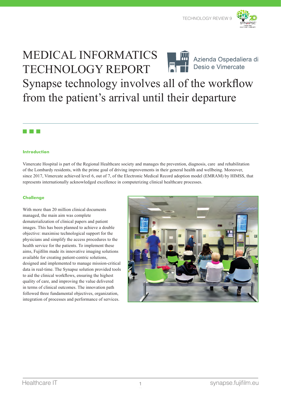

### MEDICAL INFORMATICS TECHNOLOGY REPORT



Azienda Ospedaliera di Desio e Vimercate

## Synapse technology involves all of the workflow from the patient's arrival until their departure

### **TELEVISION**

#### **Introduction**

Vimercate Hospital is part of the Regional Healthcare society and manages the prevention, diagnosis, care and rehabilitation of the Lombardy residents, with the prime goal of driving improvements in their general health and wellbeing. Moreover, since 2017, Vimercate achieved level 6, out of 7, of the Electronic Medical Record adoption model (EMRAM) by HIMSS, that represents internationally acknowledged excellence in computerizing clinical healthcare processes.

#### **Challenge**

With more than 20 million clinical documents managed, the main aim was complete dematerialization of clinical papers and patient images. This has been planned to achieve a double objective: maximise technological support for the physicians and simplify the access procedures to the health service for the patients. To implement these aims, Fujifilm made its innovative imaging solutions available for creating patient-centric solutions, designed and implemented to manage mission-critical data in real-time. The Synapse solution provided tools to aid the clinical workflows, ensuring the highest quality of care, and improving the value delivered in terms of clinical outcomes. The innovation path followed three fundamental objectives, organization, integration of processes and performance of services.

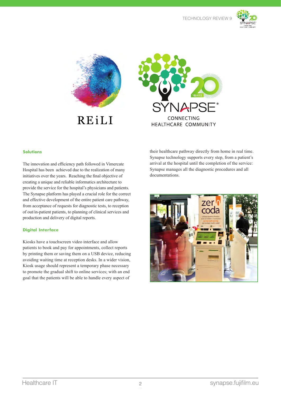





#### **Solutions**

The innovation and efficiency path followed in Vimercate Hospital has been achieved due to the realization of many initiatives over the years. Reaching the final objective of creating a unique and reliable informatics architecture to provide the service for the hospital's physicians and patients. The Synapse platform has played a crucial role for the correct and effective development of the entire patient care pathway, from acceptance of requests for diagnostic tests, to reception of out/in-patient patients, to planning of clinical services and production and delivery of digital reports.

#### **Digital Interface**

Kiosks have a touchscreen video interface and allow patients to book and pay for appointments, collect reports by printing them or saving them on a USB device, reducing avoiding waiting time at reception desks. In a wider vision, Kiosk usage should represent a temporary phase necessary to promote the gradual shift to online services; with an end goal that the patients will be able to handle every aspect of

their healthcare pathway directly from home in real time. Synapse technology supports every step, from a patient's arrival at the hospital until the completion of the service: Synapse manages all the diagnostic procedures and all documentations.